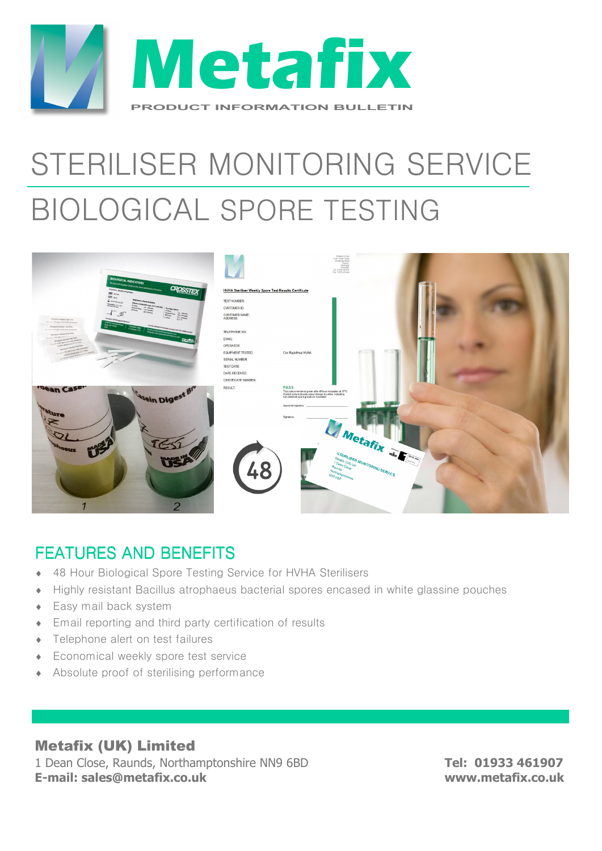

# STERILISER MONITORING SERVICE BIOLOGICAL SPORE TESTING



### **FFATURES AND BENEFITS**

- 48 Hour Biological Spore Testing Service for HVHA Sterilisers
- Highly resistant Bacillus atrophaeus bacterial spores encased in white glassine pouches
- ♦ Easy mail back system
- ♦ Email reporting and third party certification of results
- ♦ Telephone alert on test failures
- ♦ Economical weekly spore test service
- ♦ Absolute proof of sterilising performance

#### Metafix (UK) Limited

1 Dean Close, Raunds, Northamptonshire NN9 6BD **Tel: 01933 461907 E-mail: sales@metafix.co.uk www.metafix.co.uk**